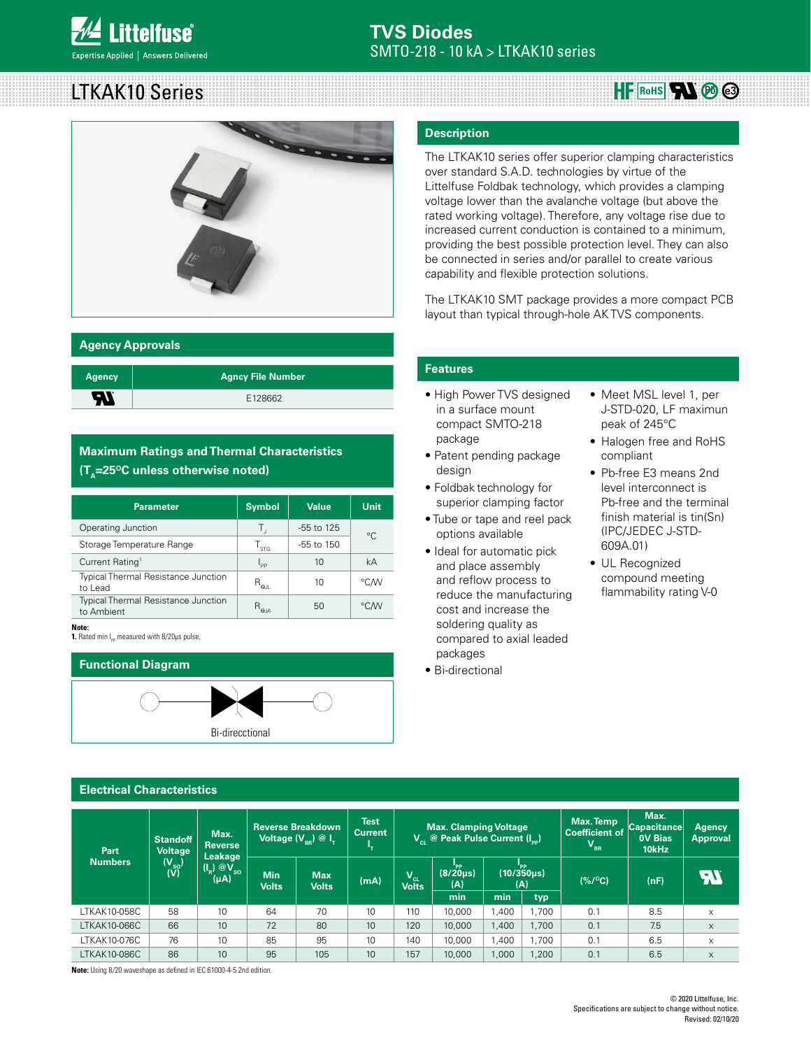# LTKAK10 Series



#### **Agency Approvals**

| <b>Agency</b> | Agncy File Number |
|---------------|-------------------|
| Ъ.            | E128662           |

## **Maximum Ratings and Thermal Characteristics (T<sub>^</sub>=25<sup>o</sup>C unless otherwise noted)**

| <b>Symbol</b>                             | <b>Value</b>   | Unit |  |
|-------------------------------------------|----------------|------|--|
| Т,                                        | $-55$ to 125   | °C   |  |
| $\mathsf{T}_{\mathsf{STG}}$               | $-55$ to $150$ |      |  |
| $I_{\mathsf{PP}}$                         | 10             | kA   |  |
| $\mathsf{R}_{\mathsf{\Theta\mathsf{JL}}}$ | 10             | °C∕W |  |
| $R_{\rm eJA}$                             | 50             | °C/W |  |
|                                           |                |      |  |

#### **Note:**

**1.** Rated min I<sub>pp</sub> measured with 8/20μs pulse.



#### **Description**

The LTKAK10 series offer superior clamping characteristics over standard S.A.D. technologies by virtue of the Littelfuse Foldbak technology, which provides a clamping voltage lower than the avalanche voltage (but above the rated working voltage). Therefore, any voltage rise due to increased current conduction is contained to a minimum, providing the best possible protection level. They can also be connected in series and/or parallel to create various capability and flexible protection solutions.

The LTKAK10 SMT package provides a more compact PCB layout than typical through-hole AK TVS components.

#### **Features**

- High Power TVS designed in a surface mount compact SMTO-218 package
- Patent pending package design
- Foldbak technology for superior clamping factor
- Tube or tape and reel pack options available
- Ideal for automatic pick and place assembly and reflow process to reduce the manufacturing cost and increase the soldering quality as compared to axial leaded packages
- Bi-directional

• Meet MSL level 1, per J-STD-020, LF maximun peak of 245°C

**HF** RoHS<sup>1</sup> **R**O @

- Halogen free and RoHS compliant
- Pb-free E3 means 2nd level interconnect is Pb-free and the terminal finish material is tin(Sn) (IPC/JEDEC J-STD-609A.01)
- UL Recognized compound meeting flammability rating V-0

#### **Electrical Characteristics**

| Part                | <b>Standoff</b><br>Voltage                        | Max.<br><b>Reverse</b>               |                     | Test<br><b>Reverse Breakdown</b><br><b>Max. Clamping Voltage</b><br><b>Current</b><br>$V_{\alpha}$ @ Peak Pulse Current (I <sub>nn</sub> )<br>Voltage $(\overline{V_{BR}})\otimes \overline{I_{T}}$<br>ч. |      |                          | Max. Temp<br><b>Coefficient of</b><br>$V_{BR}$ | Max.<br><b>Capacitance</b><br><b>OV Bias</b><br>10kHz | Agency<br><b>Approval</b> |                 |      |          |
|---------------------|---------------------------------------------------|--------------------------------------|---------------------|-----------------------------------------------------------------------------------------------------------------------------------------------------------------------------------------------------------|------|--------------------------|------------------------------------------------|-------------------------------------------------------|---------------------------|-----------------|------|----------|
| <b>Numbers</b>      | $\frac{(\mathsf{V}_{\mathsf{so}})}{(\mathsf{V})}$ | Leakage<br>$(I_R)$ $@V_{SO}$<br>(µA) | Min<br><b>Volts</b> | <b>Max</b><br><b>Volts</b>                                                                                                                                                                                | (mA) | $V_{\text{cl}}$<br>Volts | "PP<br>(8/20 <sub>µ</sub> s)<br>(A)            | (A)                                                   | $(10/350\mu s)$           | $(% / {}^{o}C)$ | (nF) | 77       |
|                     |                                                   |                                      |                     |                                                                                                                                                                                                           |      |                          | min                                            | min                                                   | typ                       |                 |      |          |
| LTKAK10-058C        | 58                                                | 10                                   | 64                  | 70                                                                                                                                                                                                        | 10   | 110                      | 10,000                                         | 1.400                                                 | ,700                      | 0.1             | 8.5  | $\times$ |
| LTKAK10-066C        | 66                                                | 10 <sup>1</sup>                      | 72                  | 80                                                                                                                                                                                                        | 10   | 120                      | 10,000                                         | 1,400                                                 | ,700                      | 0.1             | 7.5  | $\times$ |
| LTKAK10-076C        | 76                                                | 10                                   | 85                  | 95                                                                                                                                                                                                        | 10   | 140                      | 10,000                                         | 1,400                                                 | ,700                      | 0.1             | 6.5  | $\times$ |
| <b>LTKAK10-086C</b> | 86                                                | 10                                   | 95                  | 105                                                                                                                                                                                                       | 10   | 157                      | 10,000                                         | 1,000                                                 | ,200                      | 0.1             | 6.5  | $\times$ |

**Note:** Using 8/20 waveshape as defined in IEC 61000-4-5 2nd edition.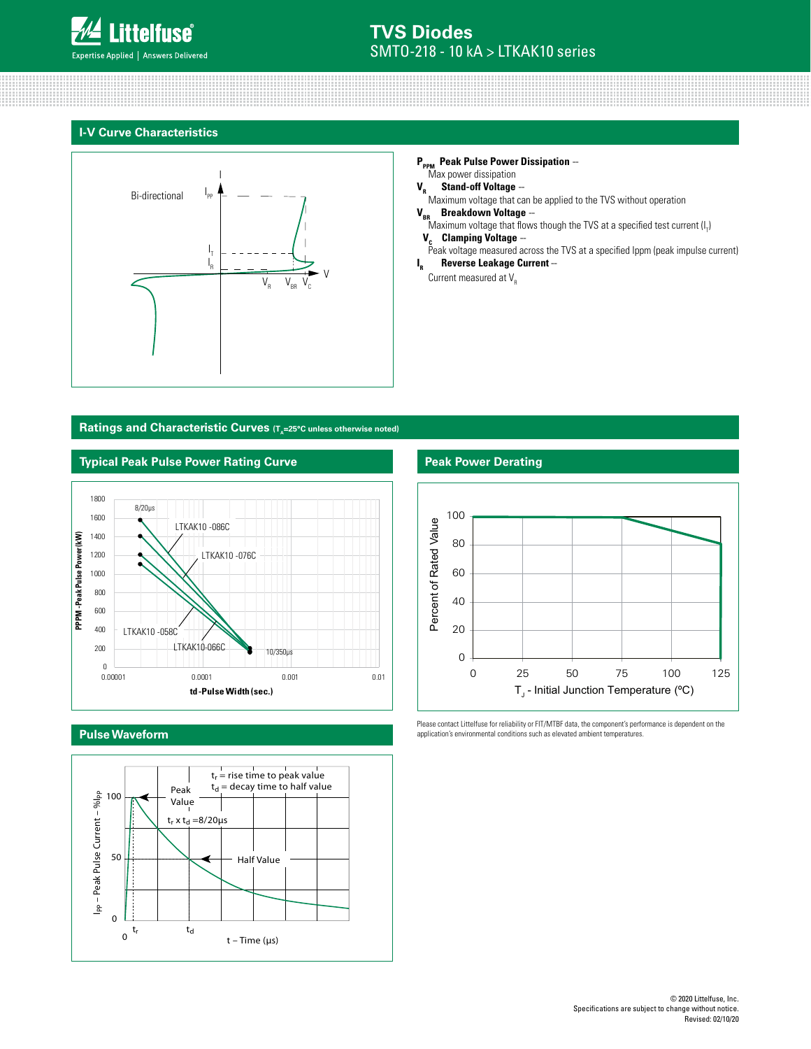

#### **I-V Curve Characteristics**



#### **P<sub>PPM</sub>** Peak Pulse Power Dissipation --Max power dissipation

**V<sub>R</sub> Stand-off Voltage** --<br>Maximum voltage that can be applied to the TVS without operation **V<sub>BR</sub> Breakdown Voltage** –

- Maximum voltage that flows though the TVS at a specified test current (I<sub>T</sub>)
- **V<sub>c</sub> Clamping Voltage** --<br>Peak voltage measured across the TVS at a specified lppm (peak impulse current) **<sup>R</sup>Reverse Leakage Current** --

**I** Current measured at  $V_R$ 

#### Ratings and Characteristic Curves (T<sub>A</sub>=25°C unless otherwise noted)



### **Pulse Waveform**



#### **Peak Power Derating**



Please contact Littelfuse for reliability or FIT/MTBF data, the component's performance is dependent on the application's environmental conditions such as elevated ambient temperatures.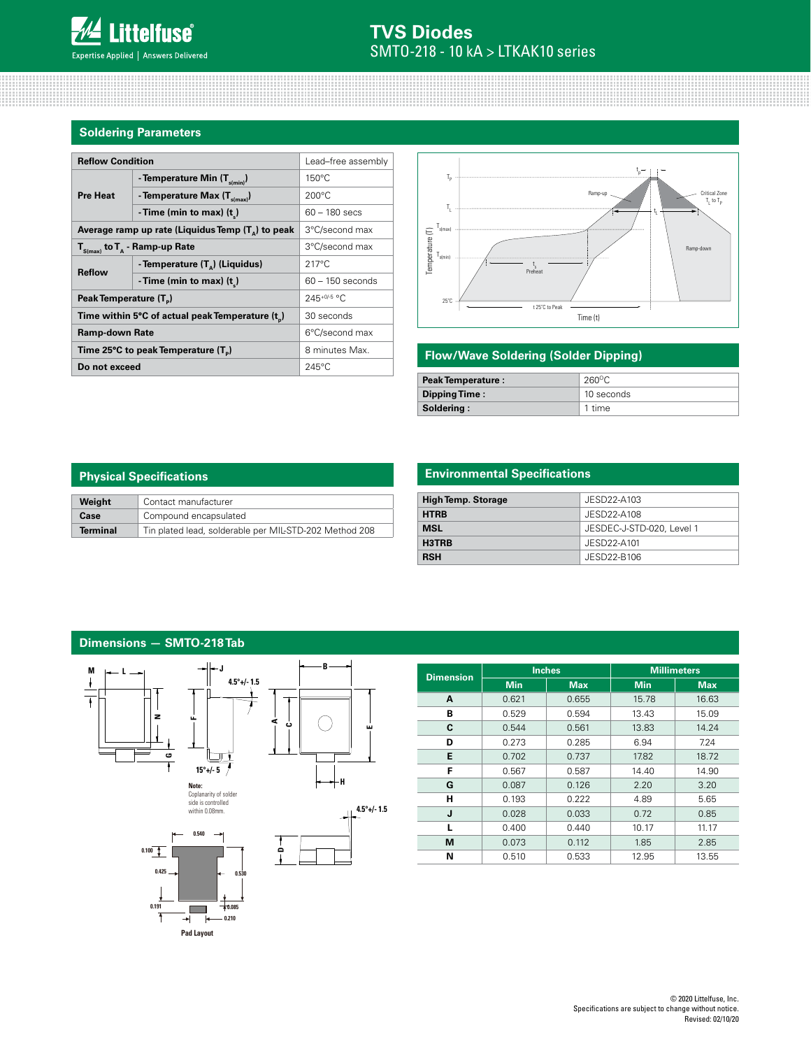## **Soldering Parameters**

| <b>Reflow Condition</b>                                    | Lead-free assembly                         |                    |  |
|------------------------------------------------------------|--------------------------------------------|--------------------|--|
| <b>Pre Heat</b>                                            | - Temperature Min $(T_{\text{s/min}})$     | $150^{\circ}$ C    |  |
|                                                            | - Temperature Max (T <sub>s(max)</sub> )   | $200^{\circ}$ C    |  |
|                                                            | - Time (min to max) $(t_*)$                | $60 - 180$ secs    |  |
| Average ramp up rate (Liquidus Temp $(T_{\alpha})$ to peak | 3°C/second max                             |                    |  |
| $T_{\text{S(max)}}$ to $T_{\text{A}}$ - Ramp-up Rate       | 3°C/second max                             |                    |  |
| <b>Reflow</b>                                              | - Temperature (T <sub>n</sub> ) (Liquidus) | $217^{\circ}$ C    |  |
|                                                            | - Time (min to max) $(t_*)$                | $60 - 150$ seconds |  |
| Peak Temperature (T <sub>n</sub> )                         | $245+0/5$ °C                               |                    |  |
| Time within 5°C of actual peak Temperature (t)             | 30 seconds                                 |                    |  |
| <b>Ramp-down Rate</b>                                      | 6°C/second max                             |                    |  |
| Time 25°C to peak Temperature (T <sub>a</sub> )            | 8 minutes Max.                             |                    |  |
| Do not exceed                                              | $245^{\circ}$ C                            |                    |  |



#### **Flow/Wave Soldering (Solder Dipping)**

| <b>Peak Temperature:</b> | $260^{\circ}$ C |  |  |
|--------------------------|-----------------|--|--|
| Dipping Time:            | 10 seconds      |  |  |
| Soldering:               | 1 time          |  |  |

## **Physical Specifications**

| Weight          | Contact manufacturer                                   |
|-----------------|--------------------------------------------------------|
| Case            | Compound encapsulated                                  |
| <b>Terminal</b> | Tin plated lead, solderable per MIL-STD-202 Method 208 |

## **Environmental Specifications**

| <b>High Temp. Storage</b> | JESD22-A103               |  |  |
|---------------------------|---------------------------|--|--|
| <b>HTRB</b>               | JESD22-A108               |  |  |
| <b>MSL</b>                | JESDEC-J-STD-020, Level 1 |  |  |
| H3TRB                     | JESD22-A101               |  |  |
| <b>RSH</b>                | JESD22-B106               |  |  |

## **Dimensions — SMTO-218 Tab**



**E**

**4.5°+/- 1.5**

**Dimension Inches Millimeters Min Max Min Max A** 0.621 0.655 15.78 16.63 **B** 0.529 0.594 13.43 15.09 **C**  $\begin{array}{|c|c|c|c|c|c|} \hline \textbf{C} & \textbf{0.544} & \textbf{0.561} & \textbf{13.83} & \textbf{14.24} \ \hline \end{array}$ **D** | 0.273 | 0.285 | 6.94 | 7.24 **E** | 0.702 | 0.737 | 17.82 | 18.72 **F** | 0.567 | 0.587 | 14.40 | 14.90 **G** 0.087 0.126 2.20 3.20 **H** 0.193 0.222 4.89 5.65 **J** 0.028 0.033 0.72 0.85 **L** 0.400 0.440 10.17 11.17 **M** | 0.073 | 0.112 | 1.85 | 2.85 **N** | 0.510 | 0.533 | 12.95 | 13.55